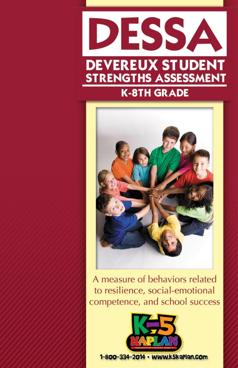



A measure of behaviors related to resilience, social-emotional competence, and school success



1-800-334-2014 • www.k5kaPlan.com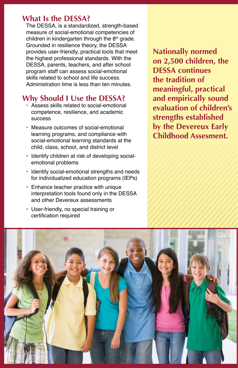### **What Is the DESSA?**

The DESSA, is a standardized, strength-based measure of social-emotional competencies of children in kindergarten through the  $8<sup>th</sup>$  grade. Grounded in resilience theory, the DESSA provides user-friendly, practical tools that meet the highest professional standards. With the DESSA, parents, teachers, and after school program staff can assess social-emotional skills related to school and life success. Administration time is less than ten minutes.

## **Why Should I Use the DESSA?**

- Assess skills related to social-emotional competence, resilience, and academic success
- Measure outcomes of social-emotional learning programs, and compliance with social-emotional learning standards at the child, class, school, and district level
- Identify children at risk of developing socialemotional problems
- Identify social-emotional strengths and needs for individualized education programs (IEPs)
- Enhance teacher practice with unique interpretation tools found only in the DESSA and other Devereux assessments
- User-friendly, no special training or certification required

**Nationally normed on 2,500 children, the DESSA continues the tradition of meaningful, practical and empirically sound evaluation of children's strengths established by the Devereux Early Childhood Assesment.**

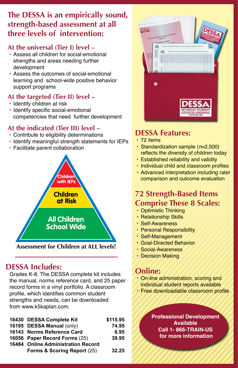# **The DESSA is an empirically sound, strength-based assessment at all three levels of intervention:**

### **At the universal (Tier I) level –**

- Assess all children for social-emotional strengths and areas needing further development
- Assess the outcomes of social-emotional learning and school-wide positive behavior support programs

### **At the targeted (Tier II) level –**

- Identify children at risk
- Identify specific social-emotional competencies that need further development

### **At the indicated (Tier III) level –**

- Contribute to eligibility determinations
- Identify meaningful strength statements for IEPs
- Facilitate parent collaboration



## **DESSA Includes:**

Grades K-8. The DESSA complete kit includes the manual, norms reference card, and 25 paper record forms in a vinyl portfolio. A classroom profile, which identifies common student strengths and needs, can be downloaded from www.k5kaplan.com.

| 16430 DESSA Complete Kit                  | \$115.95 |
|-------------------------------------------|----------|
| 16195 DESSA Manual (only)                 | 74.95    |
| 16143 Norms Reference Card                | 6.95     |
| 16056 Paper Record Forms (25)             | 39.95    |
| <b>16484 Online Administration Record</b> |          |
| Forms & Scoring Report (25)               | 32.25    |



## **DESSA Features:**

- 72 items
- Standardization sample (*n*=2,500) reflects the diversity of children today
- Established reliability and validity
- • Individual child and classroom profiles
- Advanced interpretation including rater comparison and outcome evaluation

## **72 Strength-Based Items Comprise These 8 Scales:**

- Optimistic Thinking
- Relationship Skills
- Self-Awareness
- Personal Responsibility
- Self-Management
- Goal-Directed Behavior
- Social-Awareness
- Decision Making

## **Online:**

- On-line administration, scoring and individual student reports available
- Free downloadable classroom profile

**Professional Development Available Call 1- 866-TRAIN-US for more information**